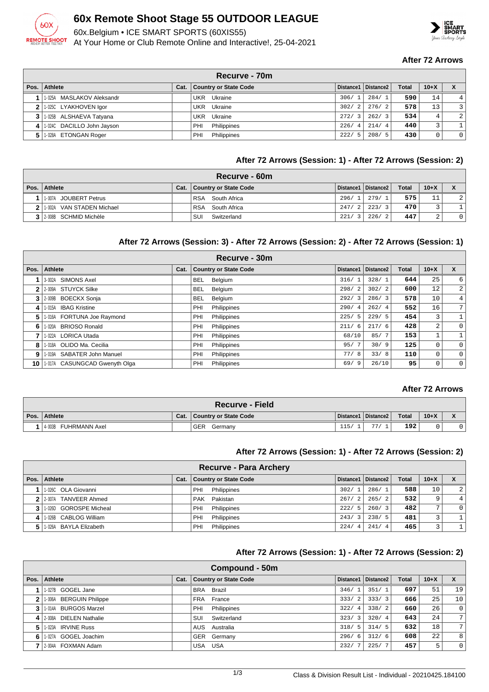

## **60x Remote Shoot Stage 55 OUTDOOR LEAGUE**

60x.Belgium • ICE SMART SPORTS (60XIS55)

At Your Home or Club Remote Online and Interactive!, 25-04-2021



#### **After 72 Arrows**

|      | Recurve - 70m              |  |                              |                        |                       |              |        |          |  |  |  |
|------|----------------------------|--|------------------------------|------------------------|-----------------------|--------------|--------|----------|--|--|--|
| Pos. | Athlete                    |  | Cat.   Country or State Code |                        | Distance1   Distance2 | <b>Total</b> | $10+X$ |          |  |  |  |
|      | 1-025A MASLAKOV Aleksandr  |  | Ukraine<br>UKR               | 306/1                  | 284/1                 | 590          | 14     | 4        |  |  |  |
|      | 2 1-025C LYAKHOVEN Igor    |  | Ukraine<br>UKR               | 302/<br>2              | 276/2                 | 578          | 13     | 3        |  |  |  |
|      | 1-025B ALSHAEVA Tatyana    |  | Ukraine<br>UKR               | 272/                   | 262/3                 | 534          | 4      | 2        |  |  |  |
|      | 1-024C DACILLO John Jayson |  | PHI<br>Philippines           | 226/<br>$\overline{4}$ | 214/4                 | 440          | 3      |          |  |  |  |
|      | 1-028A ETONGAN Roger       |  | Philippines<br>PHI           | -5<br>222/             | 208/5                 | 430          | 0      | $\Omega$ |  |  |  |

#### **After 72 Arrows (Session: 1) - After 72 Arrows (Session: 2)**

| Recurve - 60m                           |      |                            |       |                       |              |        |                |  |  |  |
|-----------------------------------------|------|----------------------------|-------|-----------------------|--------------|--------|----------------|--|--|--|
| Pos.   Athlete                          | Cat. | Country or State Code      |       | Distance1   Distance2 | <b>Total</b> | $10+X$ |                |  |  |  |
| 1-007A JOUBERT Petrus                   |      | <b>RSA</b><br>South Africa | 296/1 | 279/1                 | 575          | 11     | $\overline{2}$ |  |  |  |
| <b>2</b>   1 002A<br>VAN STADEN Michael |      | South Africa<br><b>RSA</b> | 247/2 | 223/<br>$^{\prime}$ 3 | 470          |        |                |  |  |  |
| 3 2008 SCHMID Michèle                   |      | Switzerland<br>SUI         | 221/3 | 226/2                 | 447          | $\sim$ | $\circ$        |  |  |  |

#### **After 72 Arrows (Session: 3) - After 72 Arrows (Session: 2) - After 72 Arrows (Session: 1)**

| Recurve - 30m |                               |      |                              |             |                       |              |                 |                  |  |
|---------------|-------------------------------|------|------------------------------|-------------|-----------------------|--------------|-----------------|------------------|--|
| Pos.          | <b>Athlete</b>                | Cat. | <b>Country or State Code</b> | Distance1   | Distance <sub>2</sub> | <b>Total</b> | $10+X$          | X                |  |
|               | 3-002A SIMONS Axel            |      | <b>BEL</b><br>Belgium        | 316/1       | 328/1                 | 644          | 25              | $6 \overline{6}$ |  |
|               | 2-009A STUYCK Silke           |      | <b>BEL</b><br>Belgium        | 298/2       | 302/2                 | 600          | 12              | $\overline{2}$   |  |
| 3             | 2-009B BOECKX Sonja           |      | <b>BEL</b><br>Belgium        | 292/3       | 286/3                 | 578          | 10 <sup>°</sup> | 4 <sup>1</sup>   |  |
| 4             | 1-015A IBAG Kristine          |      | PHI<br>Philippines           | 290/4       | 262/4                 | 552          | 16 <sub>1</sub> | 7 <sup>1</sup>   |  |
| 5             | 1-016A FORTUNA Joe Raymond    |      | PHI<br>Philippines           | 225/5       | 229/5                 | 454          | 3               |                  |  |
| 6             | 1-020A BRIOSO Ronald          |      | PHI<br>Philippines           | 211/<br>- 6 | 217/6                 | 428          | $\overline{a}$  | $\overline{0}$   |  |
|               | 1-022A LORICA Utada           |      | Philippines<br>PHI           | 68/10       | 85/7                  | 153          |                 |                  |  |
| 8             | 1-018A OLIDO Ma. Cecilia      |      | Philippines<br>PHI           | 95/7        | 30/9                  | 125          | 0               | $\circ$          |  |
| 9             | 1-019A SABATER John Manuel    |      | Philippines<br>PHI           | 77/8        | 33/8                  | 110          | 0               | $\circ$          |  |
| 10            | 1-017A CASUNGCAD Gwenyth Olga |      | PHI<br>Philippines           | 69/9        | 26/10                 | 95           | 0               | $\overline{0}$   |  |

#### **After 72 Arrows**

| <b>Recurve - Field</b>  |      |                       |      |                       |              |        |  |  |  |
|-------------------------|------|-----------------------|------|-----------------------|--------------|--------|--|--|--|
| Pos. Athlete            | Cat. | Country or State Code |      | Distance1   Distance2 | <b>Total</b> | $10+X$ |  |  |  |
| FUHRMANN Axel<br>4-003B |      | <b>GER</b><br>Germany | 115/ | 77/                   | 192          |        |  |  |  |

#### **After 72 Arrows (Session: 1) - After 72 Arrows (Session: 2)**

|              | <b>Recurve - Para Archery</b> |      |                              |       |                           |              |              |                |  |  |
|--------------|-------------------------------|------|------------------------------|-------|---------------------------|--------------|--------------|----------------|--|--|
| Pos. $\vert$ | Athlete                       | Cat. | <b>Country or State Code</b> |       | ⊦ Distance1 ∣ Distance2 ∣ | <b>Total</b> | $10 + X$     | X              |  |  |
|              | 1.026C OLA Giovanni           |      | Philippines<br>PHI           | 302/1 | 286/1                     | 588          | 10           | $\overline{2}$ |  |  |
|              | 2 2.007A TANVEER Ahmed        |      | PAK Pakistan                 | 267/2 | 265/2                     | 532          | 9            | 4 <sup>1</sup> |  |  |
|              | 1.0260 GOROSPE Micheal        |      | Philippines<br>PHI           | 222/5 | 260/3                     | 482          | $\mathbf{r}$ | $\circ$        |  |  |
| 4            | 1-026B CABLOG William         |      | Philippines<br>PHI           | 243/3 | 238/5                     | 481          | 3            |                |  |  |
| 5.           | 1-026A BAYLA Elizabeth        |      | Philippines<br>PHI           | 224/4 | 241/4                     | 465          | 3            |                |  |  |

#### **After 72 Arrows (Session: 1) - After 72 Arrows (Session: 2)**

|      | <b>Compound - 50m</b>                |      |                              |                        |                       |              |        |                 |  |  |
|------|--------------------------------------|------|------------------------------|------------------------|-----------------------|--------------|--------|-----------------|--|--|
| Pos. | Athlete                              | Cat. | <b>Country or State Code</b> |                        | Distance1   Distance2 | <b>Total</b> | $10+X$ | X               |  |  |
|      | GOGEL Jane<br>1-027B                 |      | Brazil<br><b>BRA</b>         | 346/<br>$^{\circ}$ 1   | 351/1                 | 697          | 51     | 19              |  |  |
| 2    | 1-006A BERGUIN Philippe              |      | FRA France                   | 333/<br>2              | 333/3                 | 666          | 25     | 10 <sup>°</sup> |  |  |
| 3    | 1-014A BURGOS Marzel                 |      | Philippines<br>PHI           | 322/<br>$\overline{4}$ | 338/2                 | 660          | 26     | $\mathbf{0}$    |  |  |
| 4    | <b>DIELEN Nathalie</b><br>$2 - 008A$ |      | Switzerland<br>SUI           | 323/<br>$\mathcal{R}$  | 320/4                 | 643          | 24     | 7               |  |  |
| 5    | <b>IRVINE Russ</b><br>1-023A         |      | AUS<br>Australia             | 318/<br>-5             | 314/5                 | 632          | 18     | 7               |  |  |
| 6    | GOGEL Joachim<br>1-027A              |      | GER Germany                  | 296/<br>- 6            | 312/6                 | 608          | 22     | 8               |  |  |
|      | 2-004A FOXMAN Adam                   |      | <b>USA</b><br>USA            | 232/                   | 225/7                 | 457          | 5      |                 |  |  |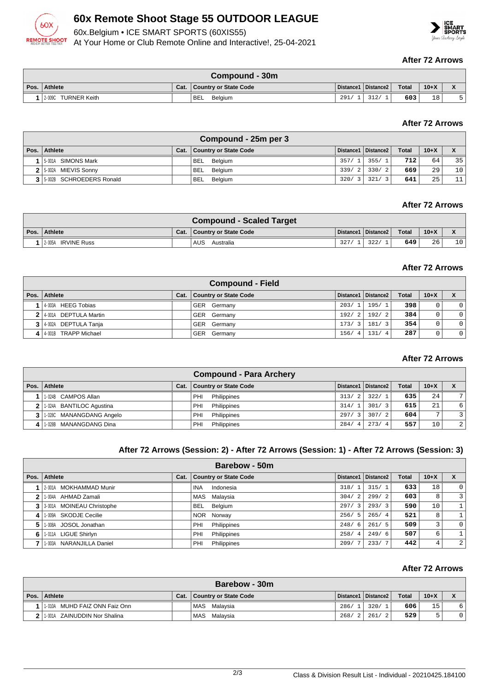

# **60x Remote Shoot Stage 55 OUTDOOR LEAGUE**

60x.Belgium • ICE SMART SPORTS (60XIS55)

At Your Home or Club Remote Online and Interactive!, 25-04-2021

#### **After 72 Arrows**

| Compound - 30m         |      |                       |      |                       |              |        |  |  |  |
|------------------------|------|-----------------------|------|-----------------------|--------------|--------|--|--|--|
| Pos. Athlete           | Cat. | Country or State Code |      | Distance1   Distance2 | <b>Total</b> | $10+X$ |  |  |  |
| TURNER Keith<br>2-009C |      | <b>BEL</b><br>Belaium | 291/ | <b>210</b>            | 603          | 18     |  |  |  |

#### **After 72 Arrows**

| Compound - 25m per 3       |      |                              |       |                       |              |        |    |  |  |  |
|----------------------------|------|------------------------------|-------|-----------------------|--------------|--------|----|--|--|--|
| Pos. Athlete               | Cat. | <b>Country or State Code</b> |       | Distance1   Distance2 | <b>Total</b> | $10+X$ |    |  |  |  |
| 15-001A SIMONS Mark        |      | BEL Belgium                  | 357/1 | 355/1                 | 712          | 64     | 35 |  |  |  |
| 2 5-002A MIEVIS Sonny      |      | BEL<br>Belgium               |       | $339/2$ 330/2         | 669          | 29     | 10 |  |  |  |
| 3 5 002B SCHROEDERS Ronald |      | BEL<br>Belgium               | 320/  | 321/<br>ં ?           | 641          | 25     | 11 |  |  |  |

#### **After 72 Arrows**

| <b>Compound - Scaled Target</b> |      |                       |     |                       |       |        |    |  |  |  |
|---------------------------------|------|-----------------------|-----|-----------------------|-------|--------|----|--|--|--|
| Pos. Athlete                    | Cat. | Country or State Code |     | Distance1   Distance2 | Total | $10+X$ |    |  |  |  |
| 1 2-005A IRVINE Russ            |      | AUS.<br>Australia     | 327 | 322/                  | 649   | 26     | 10 |  |  |  |

#### **After 72 Arrows**

| <b>Compound - Field</b> |      |                              |       |                     |              |        |                |  |  |
|-------------------------|------|------------------------------|-------|---------------------|--------------|--------|----------------|--|--|
| Pos.   Athlete          | Cat. | <b>Country or State Code</b> |       | Distance1 Distance2 | <b>Total</b> | $10+X$ |                |  |  |
| 1 4-003A HEEG Tobias    |      | GER Germany                  | 203/1 | 195/1               | 398          | 0      | $\overline{0}$ |  |  |
| 2 4-001A DEPTULA Martin |      | GER Germany                  | 192/2 | 192/2               | 384          | 0      | $\overline{0}$ |  |  |
| 3 4-002A DEPTULA Tanja  |      | GER Germany                  | 173/3 | 181/3               | 354          | 0      | $\overline{0}$ |  |  |
| 4 4 001B TRAPP Michael  |      | GER Germany                  | 156/4 | 131/4               | 287          | 0      | $\overline{0}$ |  |  |

#### **After 72 Arrows**

|      |                            |      | <b>Compound - Para Archery</b> |                        |                       |              |                 |                |
|------|----------------------------|------|--------------------------------|------------------------|-----------------------|--------------|-----------------|----------------|
| Pos. | Athlete                    | Cat. | <b>Country or State Code</b>   |                        | Distance1   Distance2 | <b>Total</b> | $10+X$          | X              |
|      | 1.024B CAMPOS Allan        |      | Philippines<br>PHI             | 313/2                  | 322/1                 | 635          | 24 <sub>1</sub> | 7 I            |
|      | 2 1-024A BANTILOC Agustina |      | Philippines<br>PHI             | 314/1                  | 301/3                 | 615          | 21              | 6 <sup>1</sup> |
|      | 3 1.028C MANANGDANG Angelo |      | Philippines<br>PHI             | 297/3                  | 307/2                 | 604          | ÷.              | $\overline{2}$ |
|      | 1-028B MANANGDANG Dina     |      | Philippines<br>PHI             | 284/<br>$\overline{4}$ | 273/4                 | 557          | 10              | 2 <sup>1</sup> |

#### **After 72 Arrows (Session: 2) - After 72 Arrows (Session: 1) - After 72 Arrows (Session: 3)**

|              | Barebow - 50m             |      |                              |             |                       |              |        |          |  |
|--------------|---------------------------|------|------------------------------|-------------|-----------------------|--------------|--------|----------|--|
| Pos. $\vert$ | Athlete                   | Cat. | <b>Country or State Code</b> |             | Distance1   Distance2 | <b>Total</b> | $10+X$ | X        |  |
|              | 2-001A MOKHAMMAD Munir    |      | Indonesia<br>INA             | 318/1       | 315/1                 | 633          | 18     | $\Omega$ |  |
|              | 1-004A AHMAD Zamali       |      | MAS Malaysia                 | 304/<br>2   | 299/2                 | 603          | 8      | 3        |  |
| 3            | 3-001A MOINEAU Christophe |      | Belgium<br><b>BEL</b>        | 297/3       | 293/3                 | 590          | 10     |          |  |
| 4            | 1-009A SKODJE Cecilie     |      | NOR Norway                   | 256/5       | 265/4                 | 521          | 8      |          |  |
| 5            | 1-008A JOSOL Jonathan     |      | Philippines<br>PHI           | 248/<br>- 6 | 261/5                 | 509          | 3      | $\Omega$ |  |
| 6            | 1-011A LIGUE Shirlyn      |      | Philippines<br>PHI           | 258/4       | 249/6                 | 507          | 6      |          |  |
|              | 1-003A NARANJILLA Daniel  |      | Philippines<br>PHI           | 209/        | 233/7                 | 442          | 4      | 2        |  |

#### **After 72 Arrows**

| Barebow - 30m |                                  |      |                              |        |                       |              |        |  |  |
|---------------|----------------------------------|------|------------------------------|--------|-----------------------|--------------|--------|--|--|
|               | Pos.   Athlete                   | Cat. | <b>Country or State Code</b> |        | Distance1   Distance2 | <b>Total</b> | $10+X$ |  |  |
|               | MUHD FAIZ ONN Faiz Onn<br>1-010A |      | MAS Malaysia                 | 286/   | 320/1                 | 606          | 15     |  |  |
| າ             | 1-001A ZAINUDDIN Nor Shalina     |      | MAS<br>Malaysia              | 268/21 | 261/2                 | 529          |        |  |  |